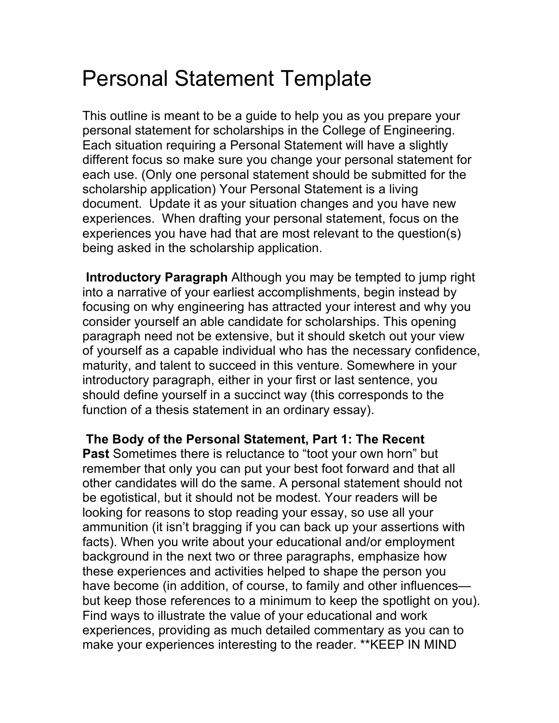## Personal Statement Template

This outline is meant to be a guide to help you as you prepare your personal statement for scholarships in the College of Engineering. Each situation requiring a Personal Statement will have a slightly different focus so make sure you change your personal statement for each use. (Only one personal statement should be submitted for the scholarship application) Your Personal Statement is a living document. Update it as your situation changes and you have new experiences. When drafting your personal statement, focus on the experiences you have had that are most relevant to the question(s) being asked in the scholarship application.

**Introductory Paragraph** Although you may be tempted to jump right into a narrative of your earliest accomplishments, begin instead by focusing on why engineering has attracted your interest and why you consider yourself an able candidate for scholarships. This opening paragraph need not be extensive, but it should sketch out your view of yourself as a capable individual who has the necessary confidence, maturity, and talent to succeed in this venture. Somewhere in your introductory paragraph, either in your first or last sentence, you should define yourself in a succinct way (this corresponds to the function of a thesis statement in an ordinary essay).

**The Body of the Personal Statement, Part 1: The Recent Past** Sometimes there is reluctance to "toot your own horn" but remember that only you can put your best foot forward and that all other candidates will do the same. A personal statement should not be egotistical, but it should not be modest. Your readers will be looking for reasons to stop reading your essay, so use all your ammunition (it isn't bragging if you can back up your assertions with facts). When you write about your educational and/or employment background in the next two or three paragraphs, emphasize how these experiences and activities helped to shape the person you have become (in addition, of course, to family and other influences but keep those references to a minimum to keep the spotlight on you). Find ways to illustrate the value of your educational and work experiences, providing as much detailed commentary as you can to make your experiences interesting to the reader. \*\*KEEP IN MIND